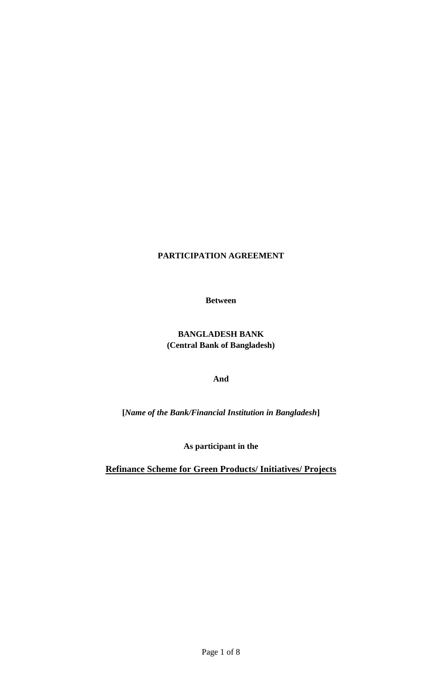# **PARTICIPATION AGREEMENT**

**Between**

# **BANGLADESH BANK (Central Bank of Bangladesh)**

**And**

**[***Name of the Bank/Financial Institution in Bangladesh***]**

**As participant in the**

**Refinance Scheme for Green Products/ Initiatives/ Projects**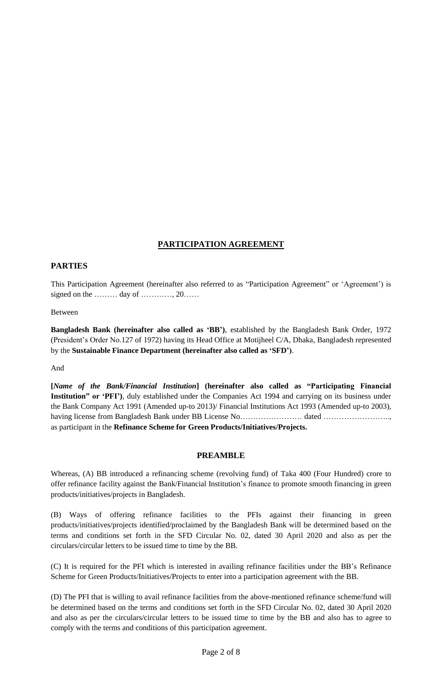## **PARTICIPATION AGREEMENT**

### **PARTIES**

This Participation Agreement (hereinafter also referred to as "Participation Agreement" or "Agreement") is signed on the ……… day of …………, 20……

#### Between

**Bangladesh Bank (hereinafter also called as "BB")**, established by the Bangladesh Bank Order, 1972 (President"s Order No.127 of 1972) having its Head Office at Motijheel C/A, Dhaka, Bangladesh represented by the **Sustainable Finance Department (hereinafter also called as "SFD")**.

#### And

**[***Name of the Bank/Financial Institution***] (hereinafter also called as "Participating Financial Institution" or "PFI")**, duly established under the Companies Act 1994 and carrying on its business under the Bank Company Act 1991 (Amended up-to 2013)/ Financial Institutions Act 1993 (Amended up-to 2003), having license from Bangladesh Bank under BB License No…………………………………………………………………… as participant in the **Refinance Scheme for Green Products/Initiatives/Projects.**

#### **PREAMBLE**

Whereas, (A) BB introduced a refinancing scheme (revolving fund) of Taka 400 (Four Hundred) crore to offer refinance facility against the Bank/Financial Institution"s finance to promote smooth financing in green products/initiatives/projects in Bangladesh.

(B) Ways of offering refinance facilities to the PFIs against their financing in green products/initiatives/projects identified/proclaimed by the Bangladesh Bank will be determined based on the terms and conditions set forth in the SFD Circular No. 02, dated 30 April 2020 and also as per the circulars/circular letters to be issued time to time by the BB.

(C) It is required for the PFI which is interested in availing refinance facilities under the BB"s Refinance Scheme for Green Products/Initiatives/Projects to enter into a participation agreement with the BB.

(D) The PFI that is willing to avail refinance facilities from the above-mentioned refinance scheme/fund will be determined based on the terms and conditions set forth in the SFD Circular No. 02, dated 30 April 2020 and also as per the circulars/circular letters to be issued time to time by the BB and also has to agree to comply with the terms and conditions of this participation agreement.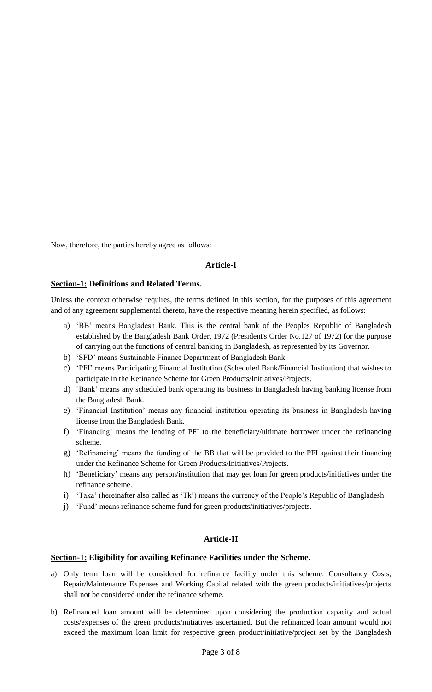Now, therefore, the parties hereby agree as follows:

### **Article-I**

#### **Section-1: Definitions and Related Terms.**

Unless the context otherwise requires, the terms defined in this section, for the purposes of this agreement and of any agreement supplemental thereto, have the respective meaning herein specified, as follows:

- a) "BB" means Bangladesh Bank. This is the central bank of the Peoples Republic of Bangladesh established by the Bangladesh Bank Order, 1972 (President's Order No.127 of 1972) for the purpose of carrying out the functions of central banking in Bangladesh, as represented by its Governor.
- b) "SFD" means Sustainable Finance Department of Bangladesh Bank.
- c) "PFI" means Participating Financial Institution (Scheduled Bank/Financial Institution) that wishes to participate in the Refinance Scheme for Green Products/Initiatives/Projects.
- d) "Bank" means any scheduled bank operating its business in Bangladesh having banking license from the Bangladesh Bank.
- e) "Financial Institution" means any financial institution operating its business in Bangladesh having license from the Bangladesh Bank.
- f) "Financing" means the lending of PFI to the beneficiary/ultimate borrower under the refinancing scheme.
- g) "Refinancing" means the funding of the BB that will be provided to the PFI against their financing under the Refinance Scheme for Green Products/Initiatives/Projects.
- h) 'Beneficiary' means any person/institution that may get loan for green products/initiatives under the refinance scheme.
- i) 'Taka' (hereinafter also called as 'Tk') means the currency of the People's Republic of Bangladesh.
- j) "Fund" means refinance scheme fund for green products/initiatives/projects.

## **Article-II**

#### **Section-1: Eligibility for availing Refinance Facilities under the Scheme.**

- a) Only term loan will be considered for refinance facility under this scheme. Consultancy Costs, Repair/Maintenance Expenses and Working Capital related with the green products/initiatives/projects shall not be considered under the refinance scheme.
- b) Refinanced loan amount will be determined upon considering the production capacity and actual costs/expenses of the green products/initiatives ascertained. But the refinanced loan amount would not exceed the maximum loan limit for respective green product/initiative/project set by the Bangladesh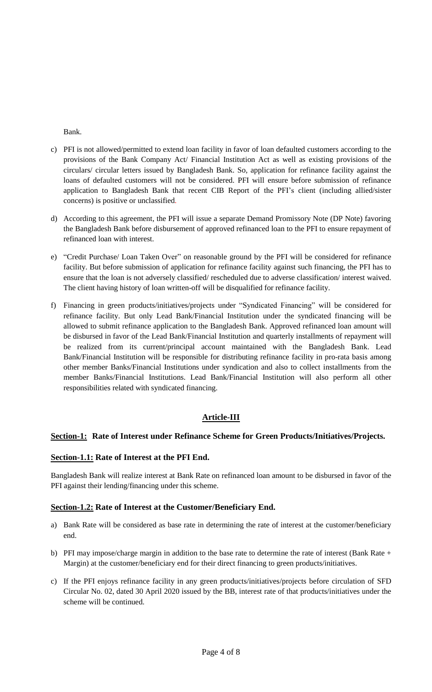Bank.

- c) PFI is not allowed/permitted to extend loan facility in favor of loan defaulted customers according to the provisions of the Bank Company Act/ Financial Institution Act as well as existing provisions of the circulars/ circular letters issued by Bangladesh Bank. So, application for refinance facility against the loans of defaulted customers will not be considered. PFI will ensure before submission of refinance application to Bangladesh Bank that recent CIB Report of the PFI"s client (including allied/sister concerns) is positive or unclassified.
- d) According to this agreement, the PFI will issue a separate Demand Promissory Note (DP Note) favoring the Bangladesh Bank before disbursement of approved refinanced loan to the PFI to ensure repayment of refinanced loan with interest.
- e) "Credit Purchase/ Loan Taken Over" on reasonable ground by the PFI will be considered for refinance facility. But before submission of application for refinance facility against such financing, the PFI has to ensure that the loan is not adversely classified/ rescheduled due to adverse classification/ interest waived. The client having history of loan written-off will be disqualified for refinance facility.
- f) Financing in green products/initiatives/projects under "Syndicated Financing" will be considered for refinance facility. But only Lead Bank/Financial Institution under the syndicated financing will be allowed to submit refinance application to the Bangladesh Bank. Approved refinanced loan amount will be disbursed in favor of the Lead Bank/Financial Institution and quarterly installments of repayment will be realized from its current/principal account maintained with the Bangladesh Bank. Lead Bank/Financial Institution will be responsible for distributing refinance facility in pro-rata basis among other member Banks/Financial Institutions under syndication and also to collect installments from the member Banks/Financial Institutions. Lead Bank/Financial Institution will also perform all other responsibilities related with syndicated financing.

## **Article-III**

## **Section-1: Rate of Interest under Refinance Scheme for Green Products/Initiatives/Projects.**

#### **Section-1.1: Rate of Interest at the PFI End.**

Bangladesh Bank will realize interest at Bank Rate on refinanced loan amount to be disbursed in favor of the PFI against their lending/financing under this scheme.

#### **Section-1.2: Rate of Interest at the Customer/Beneficiary End.**

- a) Bank Rate will be considered as base rate in determining the rate of interest at the customer/beneficiary end.
- b) PFI may impose/charge margin in addition to the base rate to determine the rate of interest (Bank Rate + Margin) at the customer/beneficiary end for their direct financing to green products/initiatives.
- c) If the PFI enjoys refinance facility in any green products/initiatives/projects before circulation of SFD Circular No. 02, dated 30 April 2020 issued by the BB, interest rate of that products/initiatives under the scheme will be continued.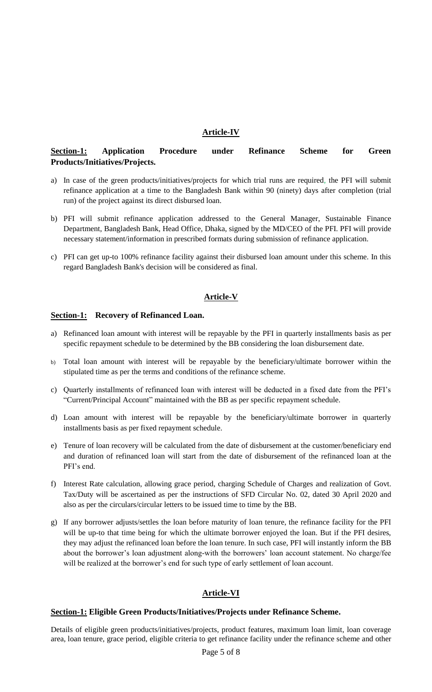### **Article-IV**

## **Section-1: Application Procedure under Refinance Scheme for Green Products/Initiatives/Projects.**

- a) In case of the green products/initiatives/projects for which trial runs are required, the PFI will submit refinance application at a time to the Bangladesh Bank within 90 (ninety) days after completion (trial run) of the project against its direct disbursed loan.
- b) PFI will submit refinance application addressed to the General Manager, Sustainable Finance Department, Bangladesh Bank, Head Office, Dhaka, signed by the MD/CEO of the PFI. PFI will provide necessary statement/information in prescribed formats during submission of refinance application.
- c) PFI can get up-to 100% refinance facility against their disbursed loan amount under this scheme. In this regard Bangladesh Bank's decision will be considered as final.

#### **Article-V**

#### **Section-1: Recovery of Refinanced Loan.**

- a) Refinanced loan amount with interest will be repayable by the PFI in quarterly installments basis as per specific repayment schedule to be determined by the BB considering the loan disbursement date.
- b) Total loan amount with interest will be repayable by the beneficiary/ultimate borrower within the stipulated time as per the terms and conditions of the refinance scheme.
- c) Quarterly installments of refinanced loan with interest will be deducted in a fixed date from the PFI"s "Current/Principal Account" maintained with the BB as per specific repayment schedule.
- d) Loan amount with interest will be repayable by the beneficiary/ultimate borrower in quarterly installments basis as per fixed repayment schedule.
- e) Tenure of loan recovery will be calculated from the date of disbursement at the customer/beneficiary end and duration of refinanced loan will start from the date of disbursement of the refinanced loan at the PFI's end.
- f) Interest Rate calculation, allowing grace period, charging Schedule of Charges and realization of Govt. Tax/Duty will be ascertained as per the instructions of SFD Circular No. 02, dated 30 April 2020 and also as per the circulars/circular letters to be issued time to time by the BB.
- g) If any borrower adjusts/settles the loan before maturity of loan tenure, the refinance facility for the PFI will be up-to that time being for which the ultimate borrower enjoyed the loan. But if the PFI desires, they may adjust the refinanced loan before the loan tenure. In such case, PFI will instantly inform the BB about the borrower's loan adjustment along-with the borrowers' loan account statement. No charge/fee will be realized at the borrower's end for such type of early settlement of loan account.

## **Article-VI**

#### **Section-1: Eligible Green Products/Initiatives/Projects under Refinance Scheme.**

Details of eligible green products/initiatives/projects, product features, maximum loan limit, loan coverage area, loan tenure, grace period, eligible criteria to get refinance facility under the refinance scheme and other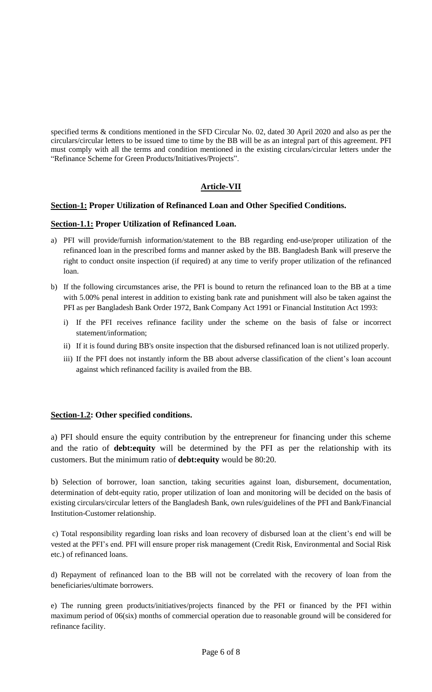specified terms & conditions mentioned in the SFD Circular No. 02, dated 30 April 2020 and also as per the circulars/circular letters to be issued time to time by the BB will be as an integral part of this agreement. PFI must comply with all the terms and condition mentioned in the existing circulars/circular letters under the "Refinance Scheme for Green Products/Initiatives/Projects".

## **Article-VII**

### **Section-1: Proper Utilization of Refinanced Loan and Other Specified Conditions.**

### **Section-1.1: Proper Utilization of Refinanced Loan.**

- a) PFI will provide/furnish information/statement to the BB regarding end-use/proper utilization of the refinanced loan in the prescribed forms and manner asked by the BB. Bangladesh Bank will preserve the right to conduct onsite inspection (if required) at any time to verify proper utilization of the refinanced loan.
- b) If the following circumstances arise, the PFI is bound to return the refinanced loan to the BB at a time with 5.00% penal interest in addition to existing bank rate and punishment will also be taken against the PFI as per Bangladesh Bank Order 1972, Bank Company Act 1991 or Financial Institution Act 1993:
	- i) If the PFI receives refinance facility under the scheme on the basis of false or incorrect statement/information;
	- ii) If it is found during BB's onsite inspection that the disbursed refinanced loan is not utilized properly.
	- iii) If the PFI does not instantly inform the BB about adverse classification of the client's loan account against which refinanced facility is availed from the BB.

#### **Section-1.2: Other specified conditions.**

a) PFI should ensure the equity contribution by the entrepreneur for financing under this scheme and the ratio of **debt:equity** will be determined by the PFI as per the relationship with its customers. But the minimum ratio of **debt:equity** would be 80:20.

b) Selection of borrower, loan sanction, taking securities against loan, disbursement, documentation, determination of debt-equity ratio, proper utilization of loan and monitoring will be decided on the basis of existing circulars/circular letters of the Bangladesh Bank, own rules/guidelines of the PFI and Bank/Financial Institution-Customer relationship.

c) Total responsibility regarding loan risks and loan recovery of disbursed loan at the client's end will be vested at the PFI"s end. PFI will ensure proper risk management (Credit Risk, Environmental and Social Risk etc.) of refinanced loans.

d) Repayment of refinanced loan to the BB will not be correlated with the recovery of loan from the beneficiaries/ultimate borrowers.

e) The running green products/initiatives/projects financed by the PFI or financed by the PFI within maximum period of 06(six) months of commercial operation due to reasonable ground will be considered for refinance facility.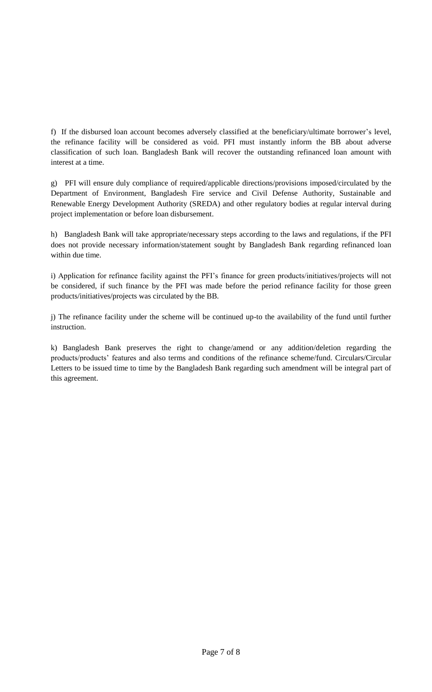f) If the disbursed loan account becomes adversely classified at the beneficiary/ultimate borrower"s level, the refinance facility will be considered as void. PFI must instantly inform the BB about adverse classification of such loan. Bangladesh Bank will recover the outstanding refinanced loan amount with interest at a time.

g) PFI will ensure duly compliance of required/applicable directions/provisions imposed/circulated by the Department of Environment, Bangladesh Fire service and Civil Defense Authority, Sustainable and Renewable Energy Development Authority (SREDA) and other regulatory bodies at regular interval during project implementation or before loan disbursement.

h) Bangladesh Bank will take appropriate/necessary steps according to the laws and regulations, if the PFI does not provide necessary information/statement sought by Bangladesh Bank regarding refinanced loan within due time.

i) Application for refinance facility against the PFI"s finance for green products/initiatives/projects will not be considered, if such finance by the PFI was made before the period refinance facility for those green products/initiatives/projects was circulated by the BB.

j) The refinance facility under the scheme will be continued up-to the availability of the fund until further instruction.

k) Bangladesh Bank preserves the right to change/amend or any addition/deletion regarding the products/products' features and also terms and conditions of the refinance scheme/fund. Circulars/Circular Letters to be issued time to time by the Bangladesh Bank regarding such amendment will be integral part of this agreement.